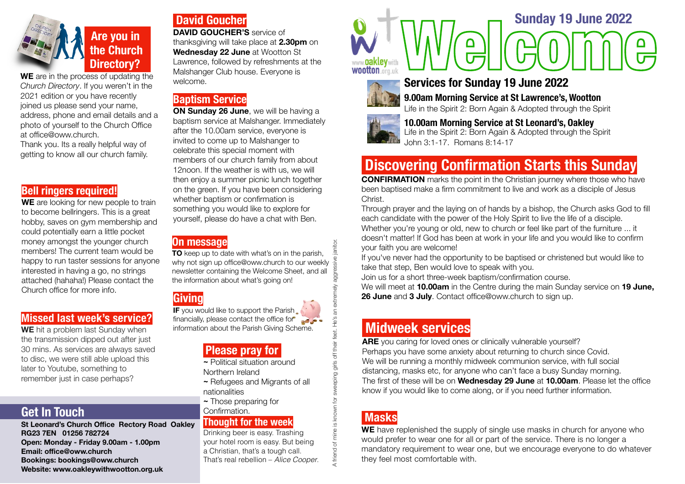

**WE** are in the process of updating the *Church Directory*. If you weren't in the 2021 edition or you have recently joined us please send your name, address, phone and email details and a photo of yourself to the Church Office at [office@oww.church](mailto:office@oww.church).

Thank you. Its a really helpful way of getting to know all our church family.

#### **Bell ringers required!**

WE are looking for new people to train to become bellringers. This is a great hobby, saves on gym membership and could potentially earn a little pocket money amongst the younger church members! The current team would be happy to run taster sessions for anyone interested in having a go, no strings attached (hahaha!) Please contact the Church office for more info.

#### **Missed last week's service?**

**WE** hit a problem last Sunday when the transmission dipped out after just 30 mins. As services are always saved to disc, we were still able upload this later to Youtube, something to remember just in case perhaps?

# **Get In Touch**

**St Leonard's Church Office Rectory Road Oakley RG23 7EN 01256 782724 Open: Monday - Friday 9.00am - 1.00pm Email: offi[ce@oww.church](mailto:office@oww.church)  Bookings: bookings@oww.church Website: [www.oakleywithwootton.org.uk](http://www.oakleywithwootton.org.uk)** 

# **David Goucher**

**DAVID GOUCHER'S** service of thanksgiving will take place at **2.30pm** on **Wednesday 22 June** at Wootton St Lawrence, followed by refreshments at the Malshanger Club house. Everyone is welcome.

#### **Baptism Service**

**ON Sunday 26 June**, we will be having a baptism service at Malshanger. Immediately after the 10.00am service, everyone is invited to come up to Malshanger to celebrate this special moment with members of our church family from about 12noon. If the weather is with us, we will then enjoy a summer picnic lunch together on the green. If you have been considering whether baptism or confirmation is something you would like to explore for yourself, please do have a chat with Ben.

#### **On message**

janitor. A friend of mine is known for sweeping girls off their feet. He's an extremely aggressive janitor. **TO** keep up to date with what's on in the parish, why not sign up [office@oww.church](mailto:office@oww.church) to our weekly aggres newsletter containing the Welcome Sheet, and all the information about what's going on!

# **Giving**

**IF** you would like to support the Parish financially, please contact the office for

#### **Please pray for**

**~** Political situation around

- Northern Ireland
- **~** Refugees and Migrants of all nationalities
- **~** Those preparing for

#### Confirmation. **Thought for the week**

Drinking beer is easy. Trashing your hotel room is easy. But being a Christian, that's a tough call. That's real rebellion – *Alice Cooper*. **Wootton** org.uk **Welcome Sunday 19 June 2022**<br> **Services for Sunday 19 June 2022** 



# **Services for Sunday 19 June 2022**

 **9.00am Morning Service at St Lawrence's, Wootton**

 Life in the Spirit 2: Born Again & Adopted through the Spirit



# **10.00am Morning Service at St Leonard's, Oakley** Life in the Spirit 2: Born Again & Adopted through the Spirit

 John 3:1-17. Romans 8:14-17

# **Discovering Confirmation Starts this Sunday**

**CONFIRMATION** marks the point in the Christian journey where those who have been baptised make a firm commitment to live and work as a disciple of Jesus **Christ** 

Through prayer and the laying on of hands by a bishop, the Church asks God to fill each candidate with the power of the Holy Spirit to live the life of a disciple. Whether you're young or old, new to church or feel like part of the furniture ... it doesn't matter! If God has been at work in your life and you would like to confirm your faith you are welcome!

If you've never had the opportunity to be baptised or christened but would like to take that step, Ben would love to speak with you.

Join us for a short three-week baptism/confirmation course.

We will meet at **10.00am** in the Centre during the main Sunday service on **19 June, 26 June** and **3 July**. Contact [office@oww.church](mailto:office@oww.church) to sign up.

**individend the comport the Parish Contact of the Parish Scheme.**<br> **information about the Parish Giving Scheme.**<br> **Midweek Services**<br> **Midweek Services**<br> **Please pray for**<br> **Please pray for**<br> **Please pray for**<br> **Contact of ARE** you caring for loved ones or clinically vulnerable yourself? Perhaps you have some anxiety about returning to church since Covid. We will be running a monthly midweek communion service, with full social distancing, masks etc, for anyone who can't face a busy Sunday morning. The first of these will be on **Wednesday 29 June** at **10.00am**. Please let the office know if you would like to come along, or if you need further information.

# **Masks**

**WE** have replenished the supply of single use masks in church for anyone who would prefer to wear one for all or part of the service. There is no longer a mandatory requirement to wear one, but we encourage everyone to do whatever they feel most comfortable with.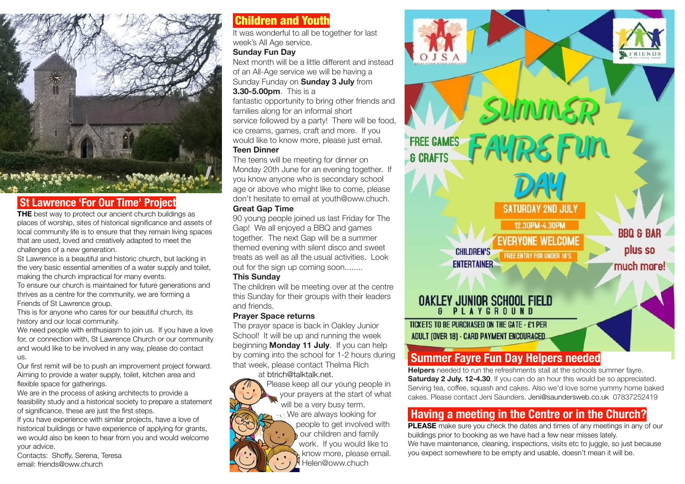

### **St Lawrence 'For Our Time' Project**

**THE** best way to protect our ancient church buildings as places of worship, sites of historical significance and assets of local community life is to ensure that they remain living spaces that are used, loved and creatively adapted to meet the challenges of a new generation.

St Lawrence is a beautiful and historic church, but lacking in the very basic essential amenities of a water supply and toilet, making the church impractical for many events.

To ensure our church is maintained for future generations and thrives as a centre for the community, we are forming a Friends of St Lawrence group.

This is for anyone who cares for our beautiful church, its history and our local community.

We need people with enthusiasm to join us. If you have a love for, or connection with, St Lawrence Church or our community and would like to be involved in any way, please do contact us.

Our first remit will be to push an improvement project forward. Aiming to provide a water supply, toilet, kitchen area and flexible space for gatherings.

We are in the process of asking architects to provide a feasibility study and a historical society to prepare a statement of significance, these are just the first steps.

If you have experience with similar projects, have a love of historical buildings or have experience of applying for grants, we would also be keen to hear from you and would welcome your advice.

Contacts: Shoffy, Serena, Teresa email: friends@oww.church

# Children and Youth

It was wonderful to all be together for last week's All Age service.

#### **Sunday Fun Day**

Next month will be a little different and instead of an All-Age service we will be having a Sunday Funday on **Sunday 3 July** from **3.30-5.00pm**. This is a

fantastic opportunity to bring other friends and families along for an informal short service followed by a party! There will be food, ice creams, games, craft and more. If you would like to know more, please just email.

#### **Teen Dinner**

The teens will be meeting for dinner on Monday 20th June for an evening together. If you know anyone who is secondary school age or above who might like to come, please don't hesitate to email at youth@oww.chuch.

#### **Great Gap Time**

90 young people joined us last Friday for The Gap! We all enjoyed a BBQ and games together. The next Gap will be a summer themed evening with silent disco and sweet treats as well as all the usual activities. Look out for the sign up coming soon........

#### **This Sunday**

The children will be meeting over at the centre this Sunday for their groups with their leaders and friends.

#### **Prayer Space returns**

The prayer space is back in Oakley Junior School! It will be up and running the week beginning **Monday 11 July**. If you can help by coming into the school for 1-2 hours during that week, please contact Thelma Rich at [btrich@talktalk.net](mailto:btrich@talktalk.net).



Please keep all our young people in your prayers at the start of what will be a very busy term. We are always looking for

people to get involved with our children and family work. If you would like to know more, please email. Helen@oww.chuch



# **Summer Fayre Fun Day Helpers needed**

**Helpers** needed to run the refreshments stall at the schools summer fayre. **Saturday 2 July. 12-4.30**. If you can do an hour this would be so appreciated. Serving tea, coffee, squash and cakes. Also we'd love some yummy home baked cakes. Please contact Jeni Saunders. [Jeni@saundersweb.co.uk](mailto:Jeni@saundersweb.co.uk) 07837252419

# **Having a meeting in the Centre or in the Church?**

**PLEASE** make sure you check the dates and times of any meetings in any of our buildings prior to booking as we have had a few near misses lately. We have maintenance, cleaning, inspections, visits etc to juggle, so just because you expect somewhere to be empty and usable, doesn't mean it will be.